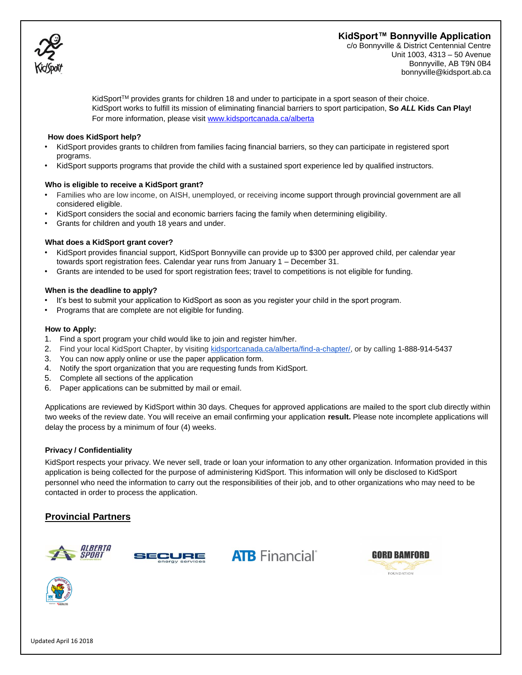# **KidSport™ Bonnyville Application**



c/o Bonnyville & District Centennial Centre Unit 1003, 4313 – 50 Avenue Bonnyville, AB T9N 0B4 bonnyville@kidsport.ab.ca

KidSport<sup>TM</sup> provides grants for children 18 and under to participate in a sport season of their choice. KidSport works to fulfill its mission of eliminating financial barriers to sport participation, **So** *ALL* **Kids Can Play!**  For more information, please visi[t www.kidsportcanada.ca/alberta](file:///G:/2017%20applications/www.kidsportcanada.ca/alberta)

#### **How does KidSport help?**

- KidSport provides grants to children from families facing financial barriers, so they can participate in registered sport programs.
- KidSport supports programs that provide the child with a sustained sport experience led by qualified instructors.

#### **Who is eligible to receive a KidSport grant?**

- Families who are low income, on AISH, unemployed, or receiving income support through provincial government are all considered eligible.
- KidSport considers the social and economic barriers facing the family when determining eligibility.
- Grants for children and youth 18 years and under.

### **What does a KidSport grant cover?**

- KidSport provides financial support, KidSport Bonnyville can provide up to \$300 per approved child, per calendar year towards sport registration fees. Calendar year runs from January 1 – December 31.
- Grants are intended to be used for sport registration fees; travel to competitions is not eligible for funding.

### **When is the deadline to apply?**

- It's best to submit your application to KidSport as soon as you register your child in the sport program.
- Programs that are complete are not eligible for funding.

### **How to Apply:**

- 1. Find a sport program your child would like to join and register him/her.
- 2. Find your local KidSport Chapter, by visiting [kidsportcanada.ca/alberta/find-a-chapter/,](http://kidsportcanada.ca/alberta/find-a-chapter/) or by calling [1-888-914-5437](tel:(888)%20914-5437)
- 3. You can now apply online or use the paper application form.
- 4. Notify the sport organization that you are requesting funds from KidSport.
- 5. Complete all sections of the application
- 6. Paper applications can be submitted by mail or email.

Applications are reviewed by KidSport within 30 days. Cheques for approved applications are mailed to the sport club directly within two weeks of the review date. You will receive an email confirming your application **result.** Please note incomplete applications will delay the process by a minimum of four (4) weeks.

### **Privacy / Confidentiality**

KidSport respects your privacy. We never sell, trade or loan your information to any other organization. Information provided in this application is being collected for the purpose of administering KidSport. This information will only be disclosed to KidSport personnel who need the information to carry out the responsibilities of their job, and to other organizations who may need to be contacted in order to process the application.

# **Provincial Partners**